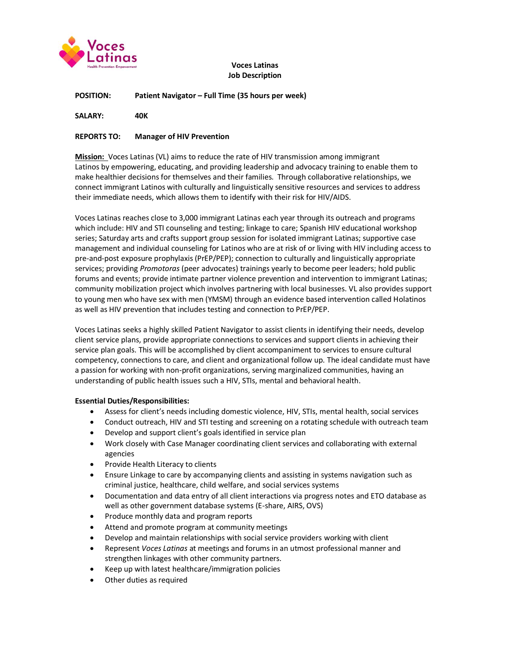

# **Voces Latinas Job Description**

### **POSITION: Patient Navigator – Full Time (35 hours per week)**

**SALARY: 40K**

### **REPORTS TO: Manager of HIV Prevention**

**Mission:** Voces Latinas (VL) aims to reduce the rate of HIV transmission among immigrant Latinos by empowering, educating, and providing leadership and advocacy training to enable them to make healthier decisions for themselves and their families. Through collaborative relationships, we connect immigrant Latinos with culturally and linguistically sensitive resources and services to address their immediate needs, which allows them to identify with their risk for HIV/AIDS.

Voces Latinas reaches close to 3,000 immigrant Latinas each year through its outreach and programs which include: HIV and STI counseling and testing; linkage to care; Spanish HIV educational workshop series; Saturday arts and crafts support group session for isolated immigrant Latinas; supportive case management and individual counseling for Latinos who are at risk of or living with HIV including access to pre-and-post exposure prophylaxis (PrEP/PEP); connection to culturally and linguistically appropriate services; providing *Promotoras* (peer advocates) trainings yearly to become peer leaders; hold public forums and events; provide intimate partner violence prevention and intervention to immigrant Latinas; community mobilization project which involves partnering with local businesses. VL also provides support to young men who have sex with men (YMSM) through an evidence based intervention called Holatinos as well as HIV prevention that includes testing and connection to PrEP/PEP.

Voces Latinas seeks a highly skilled Patient Navigator to assist clients in identifying their needs, develop client service plans, provide appropriate connections to services and support clients in achieving their service plan goals. This will be accomplished by client accompaniment to services to ensure cultural competency, connections to care, and client and organizational follow up. The ideal candidate must have a passion for working with non-profit organizations, serving marginalized communities, having an understanding of public health issues such a HIV, STIs, mental and behavioral health.

# **Essential Duties/Responsibilities:**

- Assess for client's needs including domestic violence, HIV, STIs, mental health, social services
- Conduct outreach, HIV and STI testing and screening on a rotating schedule with outreach team
- Develop and support client's goals identified in service plan
- Work closely with Case Manager coordinating client services and collaborating with external agencies
- Provide Health Literacy to clients
- Ensure Linkage to care by accompanying clients and assisting in systems navigation such as criminal justice, healthcare, child welfare, and social services systems
- Documentation and data entry of all client interactions via progress notes and ETO database as well as other government database systems (E-share, AIRS, OVS)
- Produce monthly data and program reports
- Attend and promote program at community meetings
- Develop and maintain relationships with social service providers working with client
- Represent *Voces Latinas* at meetings and forums in an utmost professional manner and strengthen linkages with other community partners.
- Keep up with latest healthcare/immigration policies
- Other duties as required